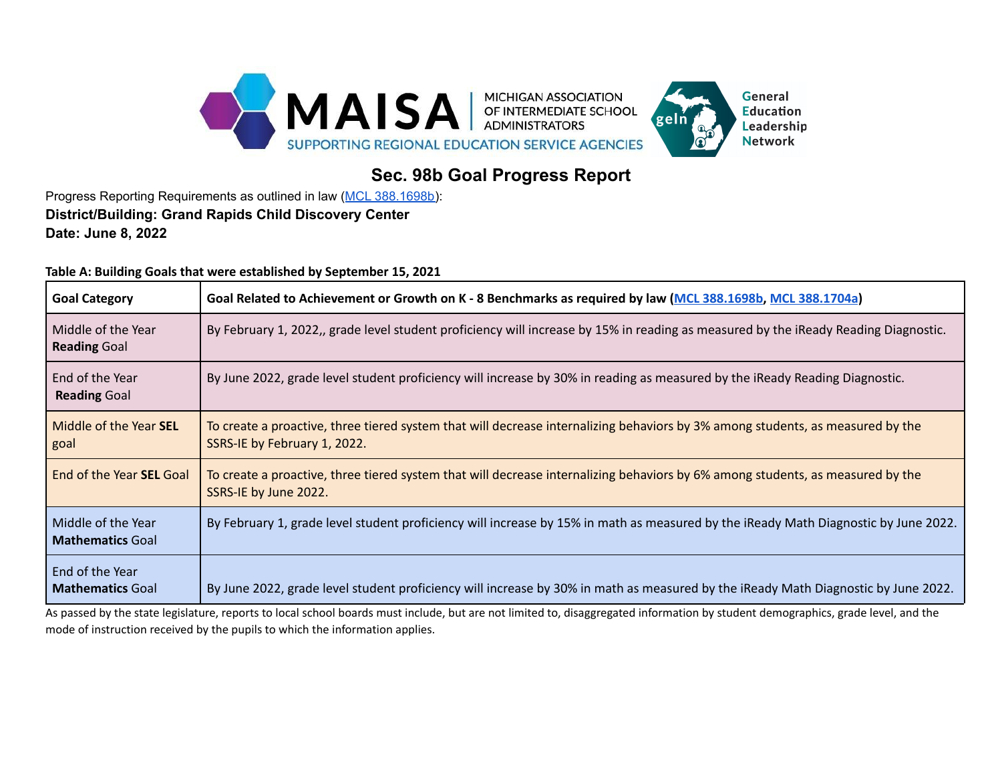

## **Sec. 98b Goal Progress Report**

Progress Reporting Requirements as outlined in law (MCL [388.1698b\)](https://www.legislature.mi.gov/(S(q30v15slt0kw1v1gy5f40uik))/mileg.aspx?page=getObject&objectName=mcl-388-1698b-added): **District/Building: Grand Rapids Child Discovery Center Date: June 8, 2022**

**Table A: Building Goals that were established by September 15, 2021**

| <b>Goal Category</b>                          | Goal Related to Achievement or Growth on K - 8 Benchmarks as required by law (MCL 388.1698b, MCL 388.1704a)                                                    |
|-----------------------------------------------|----------------------------------------------------------------------------------------------------------------------------------------------------------------|
| Middle of the Year<br><b>Reading Goal</b>     | By February 1, 2022,, grade level student proficiency will increase by 15% in reading as measured by the iReady Reading Diagnostic.                            |
| End of the Year<br><b>Reading Goal</b>        | By June 2022, grade level student proficiency will increase by 30% in reading as measured by the iReady Reading Diagnostic.                                    |
| Middle of the Year <b>SEL</b><br>goal         | To create a proactive, three tiered system that will decrease internalizing behaviors by 3% among students, as measured by the<br>SSRS-IE by February 1, 2022. |
| End of the Year <b>SEL</b> Goal               | To create a proactive, three tiered system that will decrease internalizing behaviors by 6% among students, as measured by the<br>SSRS-IE by June 2022.        |
| Middle of the Year<br><b>Mathematics Goal</b> | By February 1, grade level student proficiency will increase by 15% in math as measured by the iReady Math Diagnostic by June 2022.                            |
| End of the Year<br><b>Mathematics Goal</b>    | By June 2022, grade level student proficiency will increase by 30% in math as measured by the iReady Math Diagnostic by June 2022.                             |

As passed by the state legislature, reports to local school boards must include, but are not limited to, disaggregated information by student demographics, grade level, and the mode of instruction received by the pupils to which the information applies.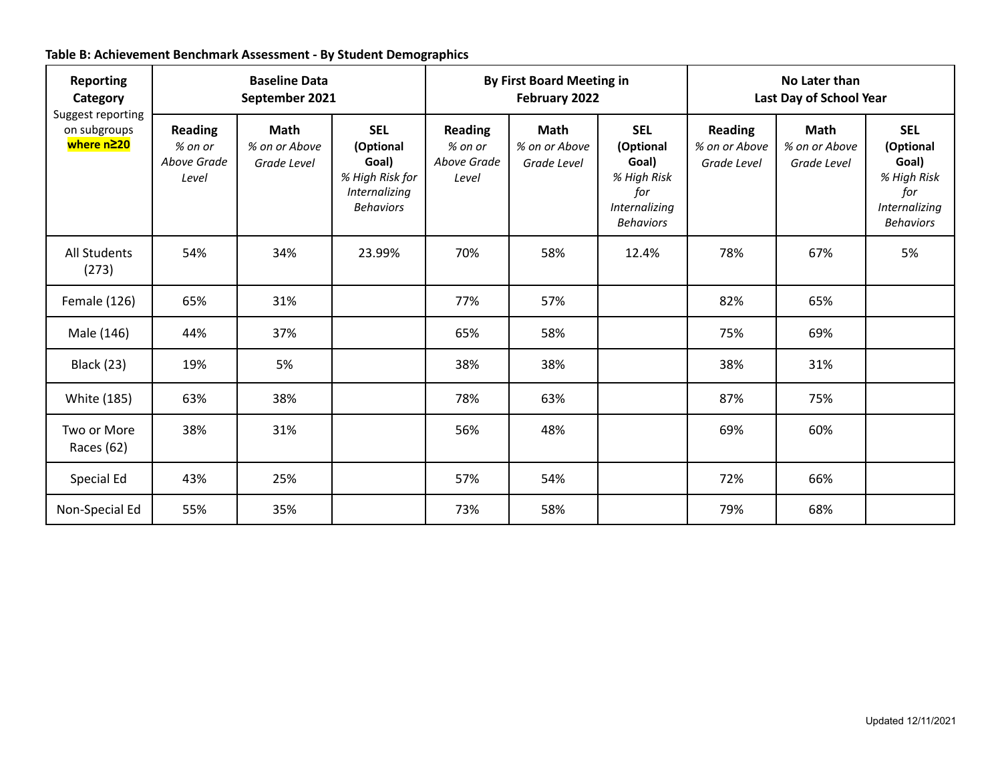| <b>Reporting</b><br>Category<br>Suggest reporting<br>on subgroups<br>where n≥20 | <b>Baseline Data</b><br>September 2021            |                                      |                                                                                          | <b>By First Board Meeting in</b><br>February 2022 |                                      |                                                                                             | No Later than<br>Last Day of School Year       |                                      |                                                                                             |
|---------------------------------------------------------------------------------|---------------------------------------------------|--------------------------------------|------------------------------------------------------------------------------------------|---------------------------------------------------|--------------------------------------|---------------------------------------------------------------------------------------------|------------------------------------------------|--------------------------------------|---------------------------------------------------------------------------------------------|
|                                                                                 | <b>Reading</b><br>% on or<br>Above Grade<br>Level | Math<br>% on or Above<br>Grade Level | <b>SEL</b><br>(Optional<br>Goal)<br>% High Risk for<br>Internalizing<br><b>Behaviors</b> | <b>Reading</b><br>% on or<br>Above Grade<br>Level | Math<br>% on or Above<br>Grade Level | <b>SEL</b><br>(Optional<br>Goal)<br>% High Risk<br>for<br>Internalizing<br><b>Behaviors</b> | <b>Reading</b><br>% on or Above<br>Grade Level | Math<br>% on or Above<br>Grade Level | <b>SEL</b><br>(Optional<br>Goal)<br>% High Risk<br>for<br>Internalizing<br><b>Behaviors</b> |
| <b>All Students</b><br>(273)                                                    | 54%                                               | 34%                                  | 23.99%                                                                                   | 70%                                               | 58%                                  | 12.4%                                                                                       | 78%                                            | 67%                                  | 5%                                                                                          |
| Female (126)                                                                    | 65%                                               | 31%                                  |                                                                                          | 77%                                               | 57%                                  |                                                                                             | 82%                                            | 65%                                  |                                                                                             |
| Male (146)                                                                      | 44%                                               | 37%                                  |                                                                                          | 65%                                               | 58%                                  |                                                                                             | 75%                                            | 69%                                  |                                                                                             |
| <b>Black (23)</b>                                                               | 19%                                               | 5%                                   |                                                                                          | 38%                                               | 38%                                  |                                                                                             | 38%                                            | 31%                                  |                                                                                             |
| White (185)                                                                     | 63%                                               | 38%                                  |                                                                                          | 78%                                               | 63%                                  |                                                                                             | 87%                                            | 75%                                  |                                                                                             |
| Two or More<br>Races (62)                                                       | 38%                                               | 31%                                  |                                                                                          | 56%                                               | 48%                                  |                                                                                             | 69%                                            | 60%                                  |                                                                                             |
| Special Ed                                                                      | 43%                                               | 25%                                  |                                                                                          | 57%                                               | 54%                                  |                                                                                             | 72%                                            | 66%                                  |                                                                                             |
| Non-Special Ed                                                                  | 55%                                               | 35%                                  |                                                                                          | 73%                                               | 58%                                  |                                                                                             | 79%                                            | 68%                                  |                                                                                             |

## **Table B: Achievement Benchmark Assessment - By Student Demographics**